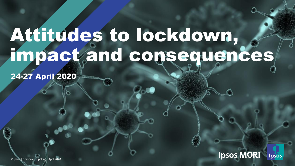## Attitudes to lockdown, impact and consequences

24-27 April 2020

**Ipsos MORI Ipsos** 

© Ipsos | Coronavirus polling | March 2020 © Ipsos | Coronavirus polling | April 2020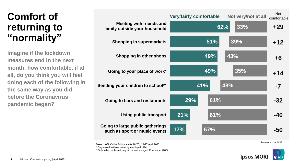### **Comfort of returning to "normality"**

**Imagine if the lockdown measures end in the next month, how comfortable, if at all, do you think you will feel doing each of the following in the same way as you did before the Coronavirus pandemic began?**

|                                                                   | <b>Very/fairly comfortable</b> |     | Not very/not at all | <b>Net</b><br>comfortable |
|-------------------------------------------------------------------|--------------------------------|-----|---------------------|---------------------------|
| <b>Meeting with friends and</b><br>family outside your household  |                                | 62% | 33%                 | $+29$                     |
| <b>Shopping in supermarkets</b>                                   |                                | 51% | 39%                 | $+12$                     |
| <b>Shopping in other shops</b>                                    |                                | 49% | 43%                 | $+6$                      |
| Going to your place of work*                                      |                                | 49% | 35%                 | $+14$                     |
| Sending your children to school**                                 | 41%                            | 48% |                     | $-7$                      |
| Going to bars and restaurants                                     | 29%                            | 61% |                     | $-32$                     |
| <b>Using public transport</b>                                     | 21%                            | 61% |                     | -40                       |
| Going to large public gatherings<br>such as sport or music events | 17%                            | 67% |                     | -50                       |
|                                                                   |                                |     |                     |                           |

**Base: 1,066** Online British adults 18-75, 24-27 April 2020

\* Only asked to those currently employed (694)

\*\*Only asked to those living with someone aged 17 or under (280)

*Source: Ipsos MORI*

Net